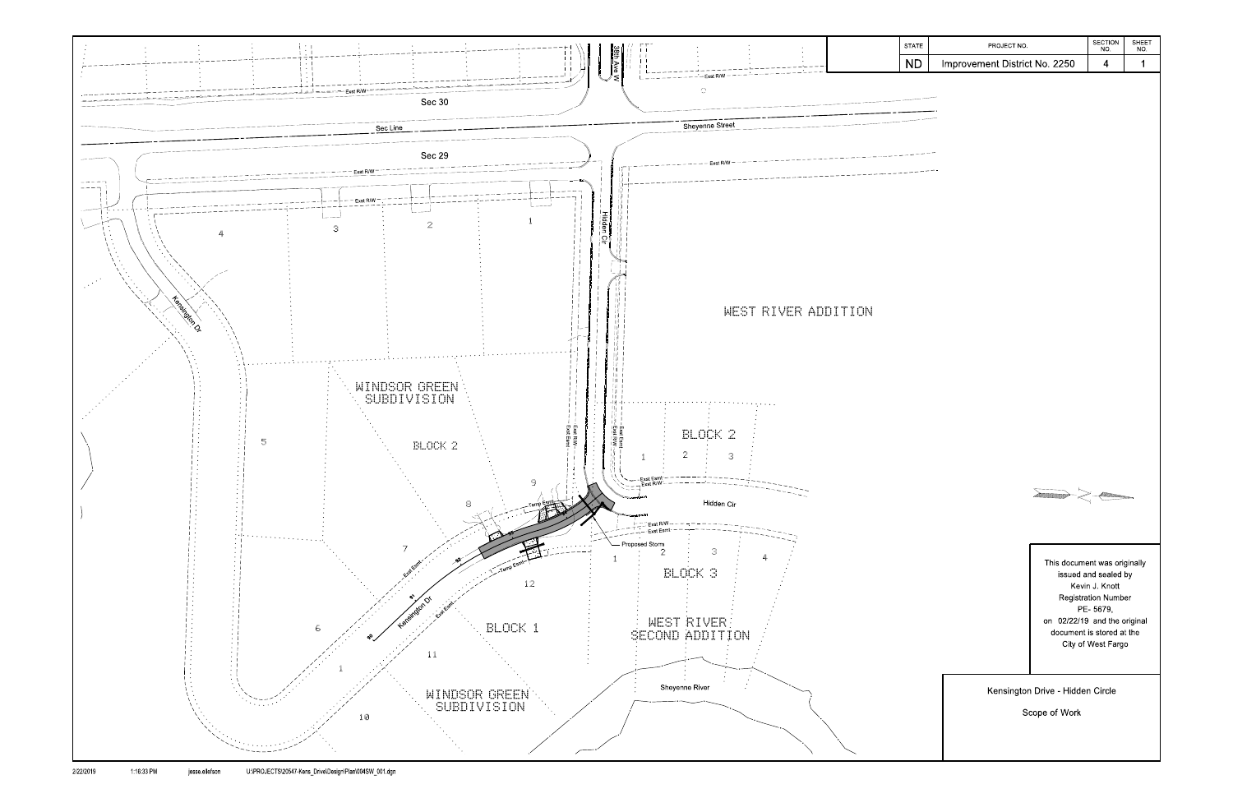

| STATE     | PROJECT NO.                                                                                                                   | <b>SECTION</b><br>NO.                                                                                  | SHEET<br>NO. |
|-----------|-------------------------------------------------------------------------------------------------------------------------------|--------------------------------------------------------------------------------------------------------|--------------|
| <b>ND</b> | Improvement District No. 2250                                                                                                 | $\overline{\mathbf{4}}$                                                                                | $\mathbf 1$  |
|           | $\searrow$                                                                                                                    |                                                                                                        |              |
|           | This document was originally<br>on 02/22/19 and the original<br>document is stored at the<br>Kensington Drive - Hidden Circle | issued and sealed by<br>Kevin J. Knott<br><b>Registration Number</b><br>PE-5679,<br>City of West Fargo |              |
|           | Scope of Work                                                                                                                 |                                                                                                        |              |